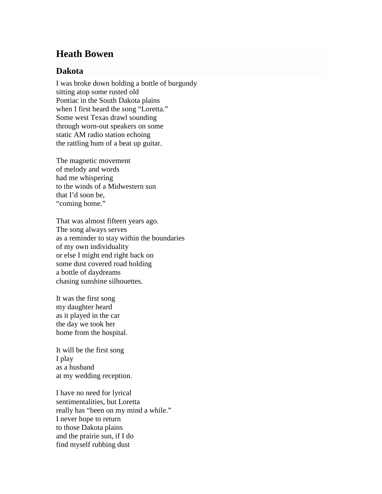## **Heath Bowen**

## **Dakota**

I was broke down holding a bottle of burgundy sitting atop some rusted old Pontiac in the South Dakota plains when I first heard the song "Loretta." Some west Texas drawl sounding through worn-out speakers on some static AM radio station echoing the rattling hum of a beat up guitar.

The magnetic movement of melody and words had me whispering to the winds of a Midwestern sun that I'd soon be, "coming home."

That was almost fifteen years ago. The song always serves as a reminder to stay within the boundaries of my own individuality or else I might end right back on some dust covered road holding a bottle of daydreams chasing sunshine silhouettes.

It was the first song my daughter heard as it played in the car the day we took her home from the hospital.

It will be the first song I play as a husband at my wedding reception.

I have no need for lyrical sentimentalities, but Loretta really has "been on my mind a while." I never hope to return to those Dakota plains and the prairie sun, if I do find myself rubbing dust